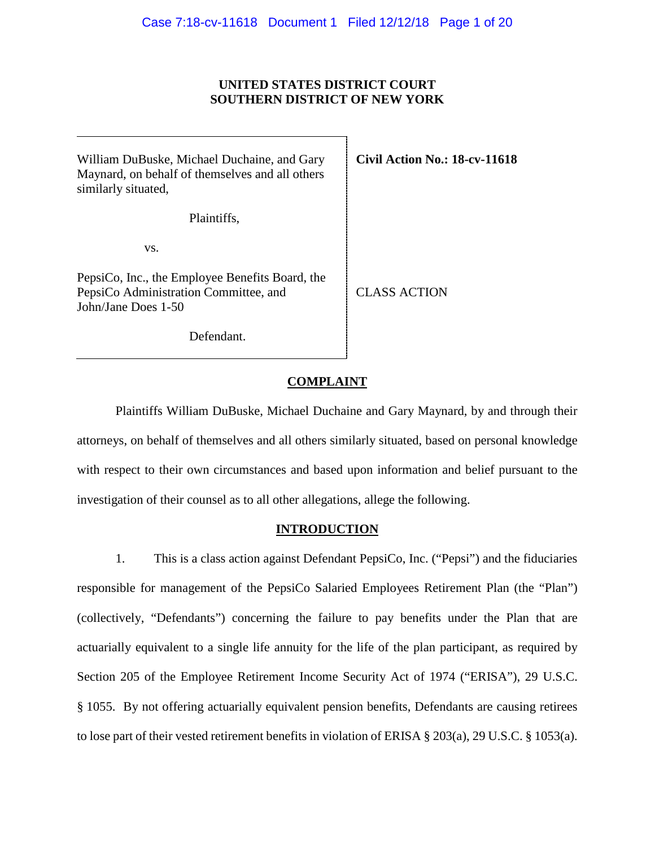### **UNITED STATES DISTRICT COURT SOUTHERN DISTRICT OF NEW YORK**

William DuBuske, Michael Duchaine, and Gary Maynard, on behalf of themselves and all others similarly situated,

Plaintiffs,

vs.

PepsiCo, Inc., the Employee Benefits Board, the PepsiCo Administration Committee, and John/Jane Does 1-50

**Civil Action No.: 18-cv-11618** 

CLASS ACTION

Defendant.

## **COMPLAINT**

Plaintiffs William DuBuske, Michael Duchaine and Gary Maynard, by and through their attorneys, on behalf of themselves and all others similarly situated, based on personal knowledge with respect to their own circumstances and based upon information and belief pursuant to the investigation of their counsel as to all other allegations, allege the following.

## **INTRODUCTION**

1. This is a class action against Defendant PepsiCo, Inc. ("Pepsi") and the fiduciaries responsible for management of the PepsiCo Salaried Employees Retirement Plan (the "Plan") (collectively, "Defendants") concerning the failure to pay benefits under the Plan that are actuarially equivalent to a single life annuity for the life of the plan participant, as required by Section 205 of the Employee Retirement Income Security Act of 1974 ("ERISA"), 29 U.S.C. § 1055. By not offering actuarially equivalent pension benefits, Defendants are causing retirees to lose part of their vested retirement benefits in violation of ERISA § 203(a), 29 U.S.C. § 1053(a).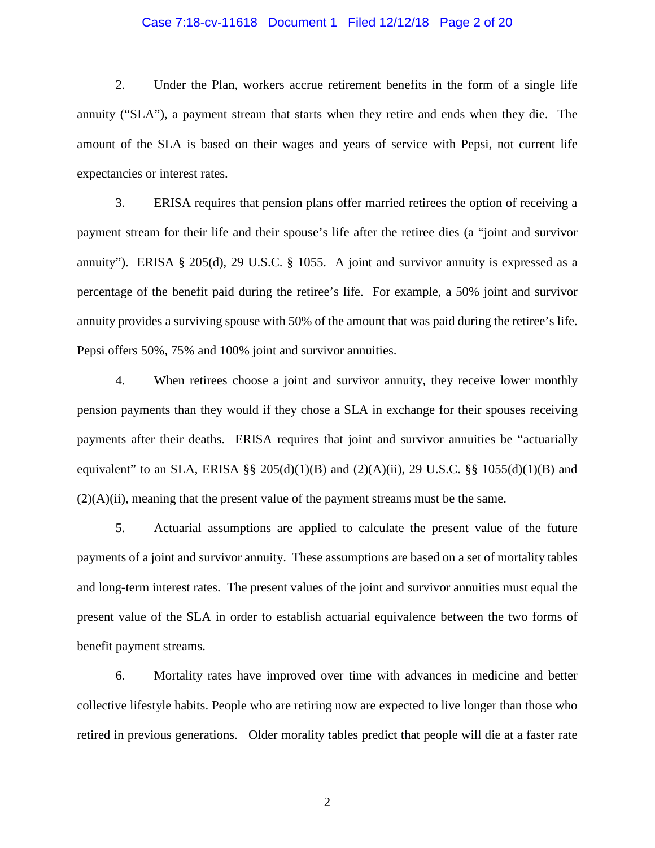#### Case 7:18-cv-11618 Document 1 Filed 12/12/18 Page 2 of 20

2. Under the Plan, workers accrue retirement benefits in the form of a single life annuity ("SLA"), a payment stream that starts when they retire and ends when they die. The amount of the SLA is based on their wages and years of service with Pepsi, not current life expectancies or interest rates.

3. ERISA requires that pension plans offer married retirees the option of receiving a payment stream for their life and their spouse's life after the retiree dies (a "joint and survivor annuity"). ERISA § 205(d), 29 U.S.C. § 1055. A joint and survivor annuity is expressed as a percentage of the benefit paid during the retiree's life. For example, a 50% joint and survivor annuity provides a surviving spouse with 50% of the amount that was paid during the retiree's life. Pepsi offers 50%, 75% and 100% joint and survivor annuities.

4. When retirees choose a joint and survivor annuity, they receive lower monthly pension payments than they would if they chose a SLA in exchange for their spouses receiving payments after their deaths. ERISA requires that joint and survivor annuities be "actuarially equivalent" to an SLA, ERISA §§ 205(d)(1)(B) and  $(2)(A)(ii)$ , 29 U.S.C. §§ 1055(d)(1)(B) and  $(2)(A)(ii)$ , meaning that the present value of the payment streams must be the same.

5. Actuarial assumptions are applied to calculate the present value of the future payments of a joint and survivor annuity. These assumptions are based on a set of mortality tables and long-term interest rates. The present values of the joint and survivor annuities must equal the present value of the SLA in order to establish actuarial equivalence between the two forms of benefit payment streams.

6. Mortality rates have improved over time with advances in medicine and better collective lifestyle habits. People who are retiring now are expected to live longer than those who retired in previous generations. Older morality tables predict that people will die at a faster rate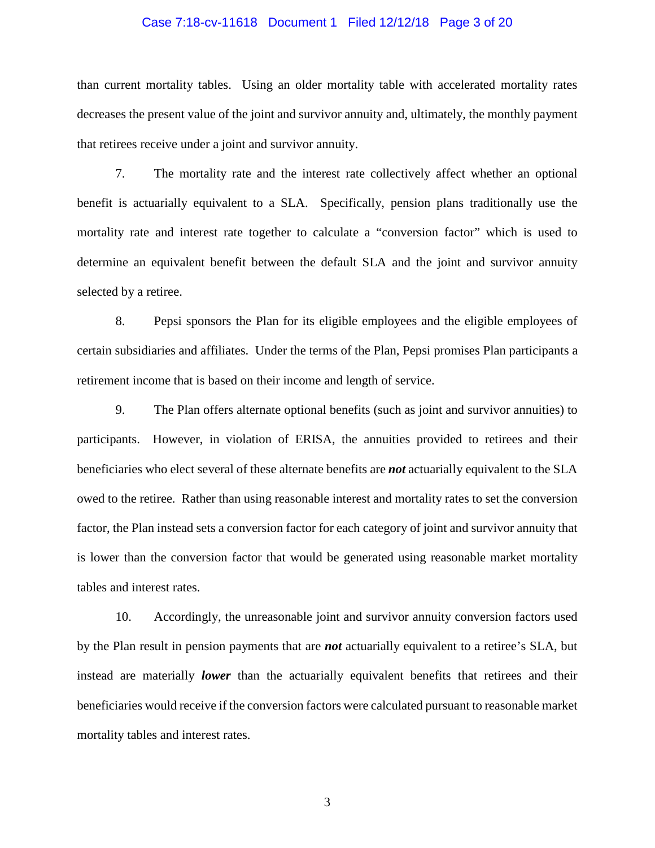#### Case 7:18-cv-11618 Document 1 Filed 12/12/18 Page 3 of 20

than current mortality tables. Using an older mortality table with accelerated mortality rates decreases the present value of the joint and survivor annuity and, ultimately, the monthly payment that retirees receive under a joint and survivor annuity.

7. The mortality rate and the interest rate collectively affect whether an optional benefit is actuarially equivalent to a SLA. Specifically, pension plans traditionally use the mortality rate and interest rate together to calculate a "conversion factor" which is used to determine an equivalent benefit between the default SLA and the joint and survivor annuity selected by a retiree.

8. Pepsi sponsors the Plan for its eligible employees and the eligible employees of certain subsidiaries and affiliates. Under the terms of the Plan, Pepsi promises Plan participants a retirement income that is based on their income and length of service.

9. The Plan offers alternate optional benefits (such as joint and survivor annuities) to participants. However, in violation of ERISA, the annuities provided to retirees and their beneficiaries who elect several of these alternate benefits are *not* actuarially equivalent to the SLA owed to the retiree. Rather than using reasonable interest and mortality rates to set the conversion factor, the Plan instead sets a conversion factor for each category of joint and survivor annuity that is lower than the conversion factor that would be generated using reasonable market mortality tables and interest rates.

10. Accordingly, the unreasonable joint and survivor annuity conversion factors used by the Plan result in pension payments that are *not* actuarially equivalent to a retiree's SLA, but instead are materially *lower* than the actuarially equivalent benefits that retirees and their beneficiaries would receive if the conversion factors were calculated pursuant to reasonable market mortality tables and interest rates.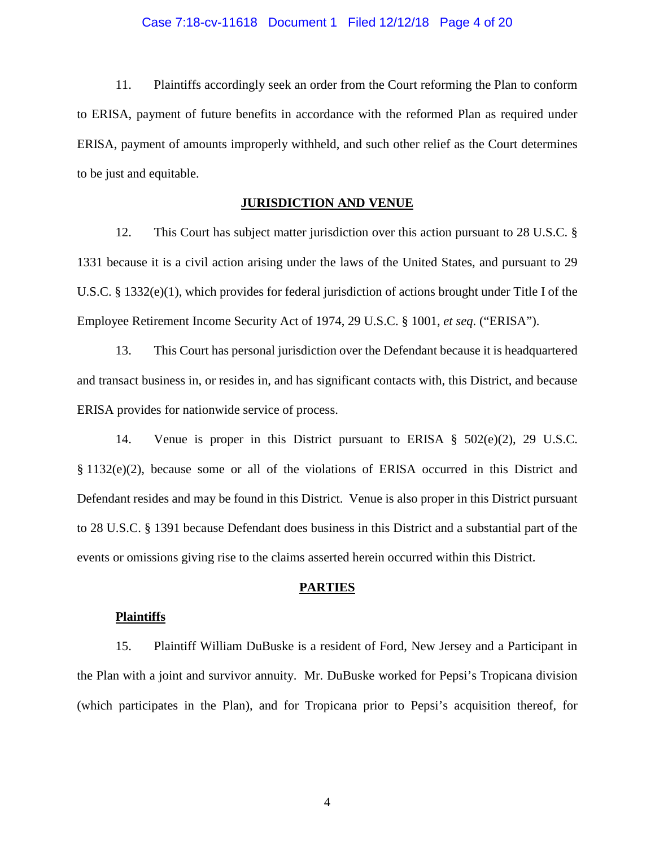#### Case 7:18-cv-11618 Document 1 Filed 12/12/18 Page 4 of 20

11. Plaintiffs accordingly seek an order from the Court reforming the Plan to conform to ERISA, payment of future benefits in accordance with the reformed Plan as required under ERISA, payment of amounts improperly withheld, and such other relief as the Court determines to be just and equitable.

### **JURISDICTION AND VENUE**

12. This Court has subject matter jurisdiction over this action pursuant to 28 U.S.C. § 1331 because it is a civil action arising under the laws of the United States, and pursuant to 29 U.S.C. § 1332(e)(1), which provides for federal jurisdiction of actions brought under Title I of the Employee Retirement Income Security Act of 1974, 29 U.S.C. § 1001, *et seq*. ("ERISA").

13. This Court has personal jurisdiction over the Defendant because it is headquartered and transact business in, or resides in, and has significant contacts with, this District, and because ERISA provides for nationwide service of process.

14. Venue is proper in this District pursuant to ERISA § 502(e)(2), 29 U.S.C. § 1132(e)(2), because some or all of the violations of ERISA occurred in this District and Defendant resides and may be found in this District. Venue is also proper in this District pursuant to 28 U.S.C. § 1391 because Defendant does business in this District and a substantial part of the events or omissions giving rise to the claims asserted herein occurred within this District.

#### **PARTIES**

#### **Plaintiffs**

15. Plaintiff William DuBuske is a resident of Ford, New Jersey and a Participant in the Plan with a joint and survivor annuity. Mr. DuBuske worked for Pepsi's Tropicana division (which participates in the Plan), and for Tropicana prior to Pepsi's acquisition thereof, for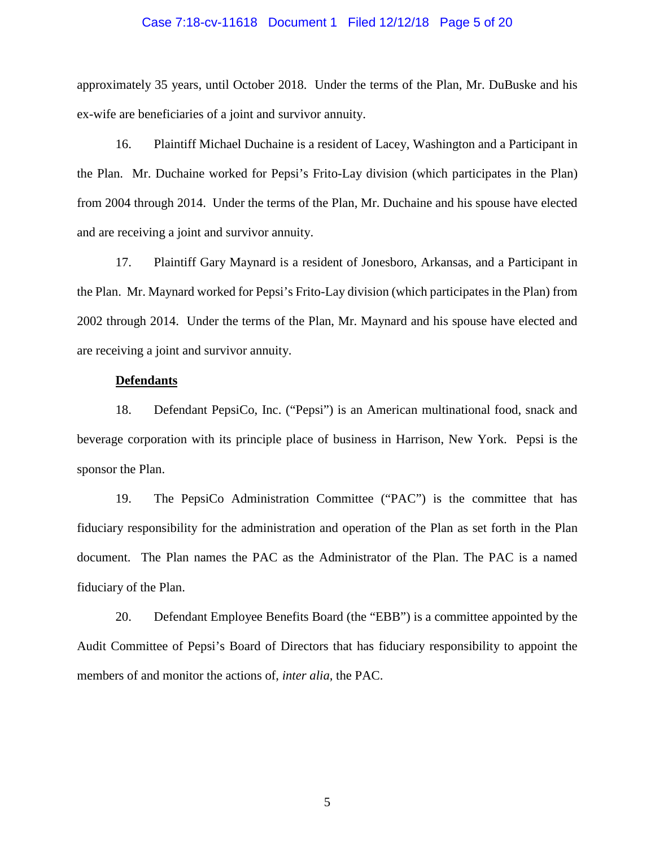#### Case 7:18-cv-11618 Document 1 Filed 12/12/18 Page 5 of 20

approximately 35 years, until October 2018. Under the terms of the Plan, Mr. DuBuske and his ex-wife are beneficiaries of a joint and survivor annuity.

16. Plaintiff Michael Duchaine is a resident of Lacey, Washington and a Participant in the Plan. Mr. Duchaine worked for Pepsi's Frito-Lay division (which participates in the Plan) from 2004 through 2014. Under the terms of the Plan, Mr. Duchaine and his spouse have elected and are receiving a joint and survivor annuity.

17. Plaintiff Gary Maynard is a resident of Jonesboro, Arkansas, and a Participant in the Plan. Mr. Maynard worked for Pepsi's Frito-Lay division (which participates in the Plan) from 2002 through 2014. Under the terms of the Plan, Mr. Maynard and his spouse have elected and are receiving a joint and survivor annuity.

#### **Defendants**

18. Defendant PepsiCo, Inc. ("Pepsi") is an American multinational food, snack and beverage corporation with its principle place of business in Harrison, New York. Pepsi is the sponsor the Plan.

19. The PepsiCo Administration Committee ("PAC") is the committee that has fiduciary responsibility for the administration and operation of the Plan as set forth in the Plan document. The Plan names the PAC as the Administrator of the Plan. The PAC is a named fiduciary of the Plan.

20. Defendant Employee Benefits Board (the "EBB") is a committee appointed by the Audit Committee of Pepsi's Board of Directors that has fiduciary responsibility to appoint the members of and monitor the actions of, *inter alia,* the PAC.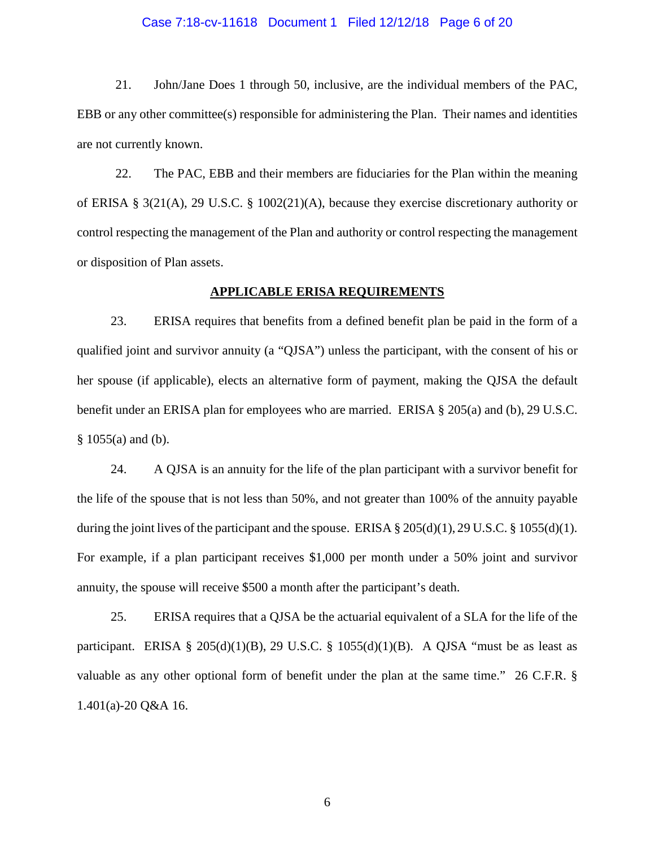#### Case 7:18-cv-11618 Document 1 Filed 12/12/18 Page 6 of 20

21. John/Jane Does 1 through 50, inclusive, are the individual members of the PAC, EBB or any other committee(s) responsible for administering the Plan. Their names and identities are not currently known.

22. The PAC, EBB and their members are fiduciaries for the Plan within the meaning of ERISA § 3(21(A), 29 U.S.C. § 1002(21)(A), because they exercise discretionary authority or control respecting the management of the Plan and authority or control respecting the management or disposition of Plan assets.

#### **APPLICABLE ERISA REQUIREMENTS**

23. ERISA requires that benefits from a defined benefit plan be paid in the form of a qualified joint and survivor annuity (a "QJSA") unless the participant, with the consent of his or her spouse (if applicable), elects an alternative form of payment, making the QJSA the default benefit under an ERISA plan for employees who are married. ERISA § 205(a) and (b), 29 U.S.C. § 1055(a) and (b).

24. A QJSA is an annuity for the life of the plan participant with a survivor benefit for the life of the spouse that is not less than 50%, and not greater than 100% of the annuity payable during the joint lives of the participant and the spouse. ERISA  $\S 205(d)(1)$ , 29 U.S.C.  $\S 1055(d)(1)$ . For example, if a plan participant receives \$1,000 per month under a 50% joint and survivor annuity, the spouse will receive \$500 a month after the participant's death.

25. ERISA requires that a QJSA be the actuarial equivalent of a SLA for the life of the participant. ERISA § 205(d)(1)(B), 29 U.S.C. § 1055(d)(1)(B). A QJSA "must be as least as valuable as any other optional form of benefit under the plan at the same time." 26 C.F.R. § 1.401(a)-20 Q&A 16.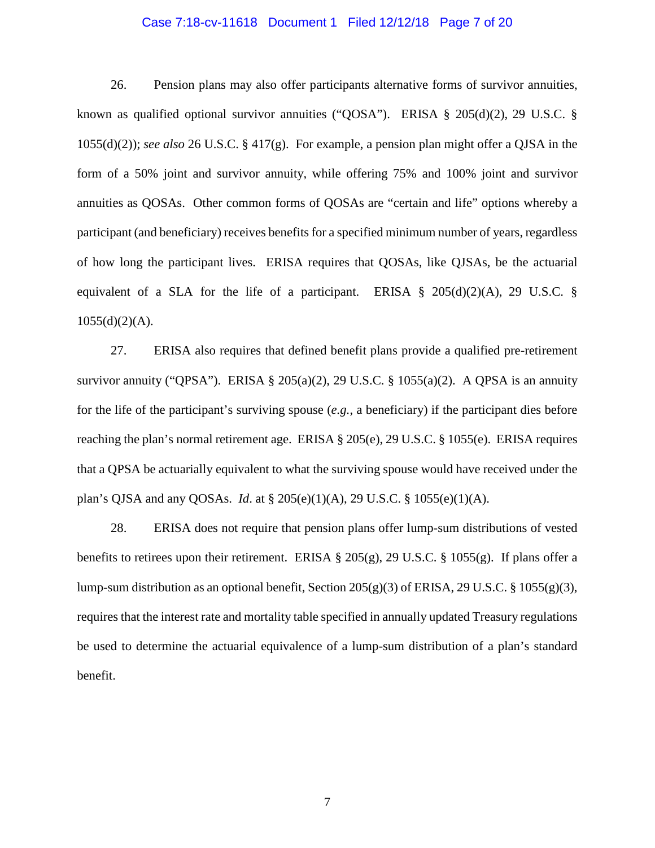#### Case 7:18-cv-11618 Document 1 Filed 12/12/18 Page 7 of 20

26. Pension plans may also offer participants alternative forms of survivor annuities, known as qualified optional survivor annuities ("QOSA"). ERISA § 205(d)(2), 29 U.S.C. § 1055(d)(2)); *see also* 26 U.S.C. § 417(g). For example, a pension plan might offer a QJSA in the form of a 50% joint and survivor annuity, while offering 75% and 100% joint and survivor annuities as QOSAs. Other common forms of QOSAs are "certain and life" options whereby a participant (and beneficiary) receives benefits for a specified minimum number of years, regardless of how long the participant lives. ERISA requires that QOSAs, like QJSAs, be the actuarial equivalent of a SLA for the life of a participant. ERISA  $\S$  205(d)(2)(A), 29 U.S.C.  $\S$  $1055(d)(2)(A)$ .

27. ERISA also requires that defined benefit plans provide a qualified pre-retirement survivor annuity ("QPSA"). ERISA § 205(a)(2), 29 U.S.C. § 1055(a)(2). A QPSA is an annuity for the life of the participant's surviving spouse (*e.g.*, a beneficiary) if the participant dies before reaching the plan's normal retirement age. ERISA § 205(e), 29 U.S.C. § 1055(e). ERISA requires that a QPSA be actuarially equivalent to what the surviving spouse would have received under the plan's QJSA and any QOSAs. *Id*. at § 205(e)(1)(A), 29 U.S.C. § 1055(e)(1)(A).

28. ERISA does not require that pension plans offer lump-sum distributions of vested benefits to retirees upon their retirement. ERISA  $\S 205(g)$ , 29 U.S.C.  $\S 1055(g)$ . If plans offer a lump-sum distribution as an optional benefit, Section 205(g)(3) of ERISA, 29 U.S.C. § 1055(g)(3), requires that the interest rate and mortality table specified in annually updated Treasury regulations be used to determine the actuarial equivalence of a lump-sum distribution of a plan's standard benefit.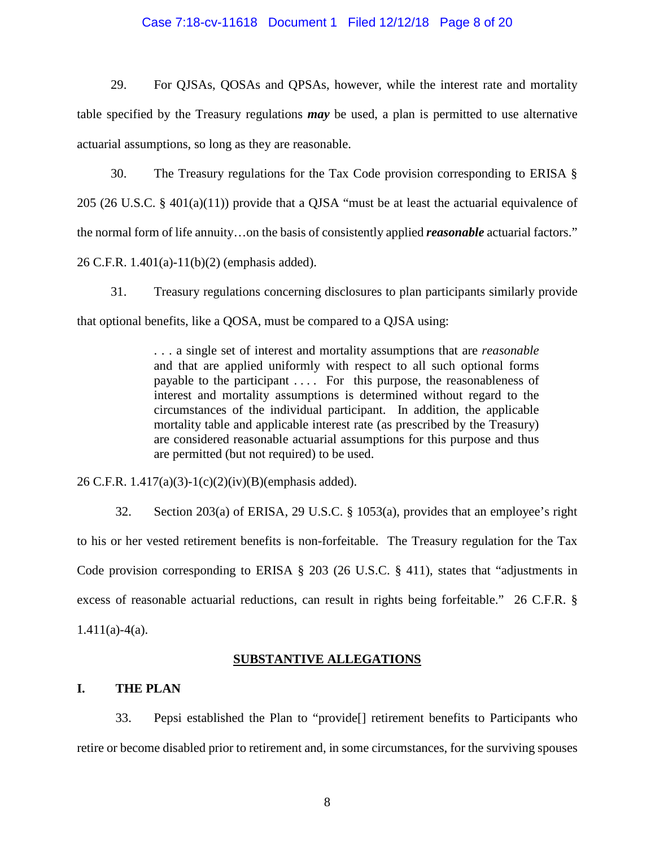#### Case 7:18-cv-11618 Document 1 Filed 12/12/18 Page 8 of 20

29. For QJSAs, QOSAs and QPSAs, however, while the interest rate and mortality table specified by the Treasury regulations *may* be used, a plan is permitted to use alternative actuarial assumptions, so long as they are reasonable.

30. The Treasury regulations for the Tax Code provision corresponding to ERISA § 205 (26 U.S.C. § 401(a)(11)) provide that a QJSA "must be at least the actuarial equivalence of the normal form of life annuity…on the basis of consistently applied *reasonable* actuarial factors." 26 C.F.R. 1.401(a)-11(b)(2) (emphasis added).

31. Treasury regulations concerning disclosures to plan participants similarly provide that optional benefits, like a QOSA, must be compared to a QJSA using:

> . . . a single set of interest and mortality assumptions that are *reasonable* and that are applied uniformly with respect to all such optional forms payable to the participant . . . . For this purpose, the reasonableness of interest and mortality assumptions is determined without regard to the circumstances of the individual participant. In addition, the applicable mortality table and applicable interest rate (as prescribed by the Treasury) are considered reasonable actuarial assumptions for this purpose and thus are permitted (but not required) to be used.

26 C.F.R. 1.417(a)(3)-1(c)(2)(iv)(B)(emphasis added).

32. Section 203(a) of ERISA, 29 U.S.C. § 1053(a), provides that an employee's right to his or her vested retirement benefits is non-forfeitable. The Treasury regulation for the Tax Code provision corresponding to ERISA § 203 (26 U.S.C. § 411), states that "adjustments in excess of reasonable actuarial reductions, can result in rights being forfeitable." 26 C.F.R. §  $1.411(a)-4(a)$ .

### **SUBSTANTIVE ALLEGATIONS**

## **I. THE PLAN**

33. Pepsi established the Plan to "provide[] retirement benefits to Participants who retire or become disabled prior to retirement and, in some circumstances, for the surviving spouses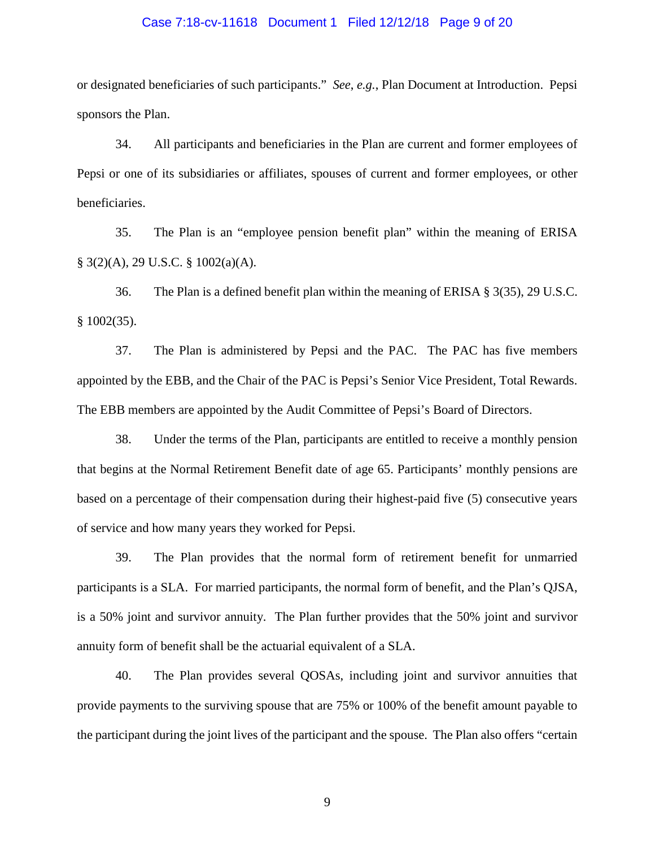#### Case 7:18-cv-11618 Document 1 Filed 12/12/18 Page 9 of 20

or designated beneficiaries of such participants." *See*, *e.g.*, Plan Document at Introduction. Pepsi sponsors the Plan.

34. All participants and beneficiaries in the Plan are current and former employees of Pepsi or one of its subsidiaries or affiliates, spouses of current and former employees, or other beneficiaries.

35. The Plan is an "employee pension benefit plan" within the meaning of ERISA § 3(2)(A), 29 U.S.C. § 1002(a)(A).

36. The Plan is a defined benefit plan within the meaning of ERISA § 3(35), 29 U.S.C.  $§$  1002(35).

37. The Plan is administered by Pepsi and the PAC. The PAC has five members appointed by the EBB, and the Chair of the PAC is Pepsi's Senior Vice President, Total Rewards. The EBB members are appointed by the Audit Committee of Pepsi's Board of Directors.

38. Under the terms of the Plan, participants are entitled to receive a monthly pension that begins at the Normal Retirement Benefit date of age 65. Participants' monthly pensions are based on a percentage of their compensation during their highest-paid five (5) consecutive years of service and how many years they worked for Pepsi.

39. The Plan provides that the normal form of retirement benefit for unmarried participants is a SLA. For married participants, the normal form of benefit, and the Plan's QJSA, is a 50% joint and survivor annuity. The Plan further provides that the 50% joint and survivor annuity form of benefit shall be the actuarial equivalent of a SLA.

40. The Plan provides several QOSAs, including joint and survivor annuities that provide payments to the surviving spouse that are 75% or 100% of the benefit amount payable to the participant during the joint lives of the participant and the spouse. The Plan also offers "certain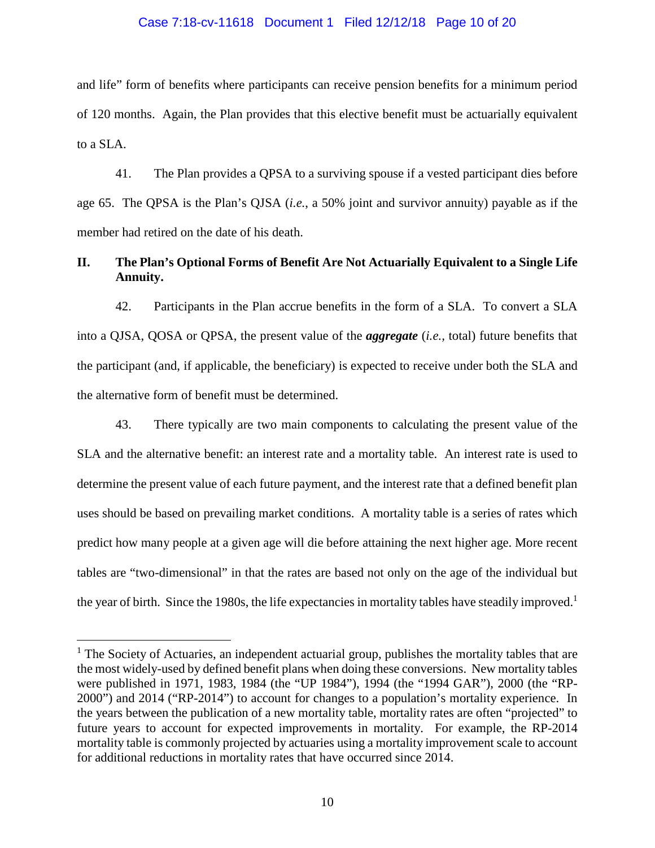#### Case 7:18-cv-11618 Document 1 Filed 12/12/18 Page 10 of 20

and life" form of benefits where participants can receive pension benefits for a minimum period of 120 months. Again, the Plan provides that this elective benefit must be actuarially equivalent to a SLA.

41. The Plan provides a QPSA to a surviving spouse if a vested participant dies before age 65. The QPSA is the Plan's QJSA (*i.e.*, a 50% joint and survivor annuity) payable as if the member had retired on the date of his death.

# **II. The Plan's Optional Forms of Benefit Are Not Actuarially Equivalent to a Single Life Annuity.**

42. Participants in the Plan accrue benefits in the form of a SLA. To convert a SLA into a QJSA, QOSA or QPSA, the present value of the *aggregate* (*i.e.,* total) future benefits that the participant (and, if applicable, the beneficiary) is expected to receive under both the SLA and the alternative form of benefit must be determined.

43. There typically are two main components to calculating the present value of the SLA and the alternative benefit: an interest rate and a mortality table. An interest rate is used to determine the present value of each future payment, and the interest rate that a defined benefit plan uses should be based on prevailing market conditions. A mortality table is a series of rates which predict how many people at a given age will die before attaining the next higher age. More recent tables are "two-dimensional" in that the rates are based not only on the age of the individual but the year of birth. Since the 1980s, the life expectancies in mortality tables have steadily improved.<sup>1</sup>

<sup>&</sup>lt;sup>1</sup> The Society of Actuaries, an independent actuarial group, publishes the mortality tables that are the most widely-used by defined benefit plans when doing these conversions. New mortality tables were published in 1971, 1983, 1984 (the "UP 1984"), 1994 (the "1994 GAR"), 2000 (the "RP-2000") and 2014 ("RP-2014") to account for changes to a population's mortality experience. In the years between the publication of a new mortality table, mortality rates are often "projected" to future years to account for expected improvements in mortality. For example, the RP-2014 mortality table is commonly projected by actuaries using a mortality improvement scale to account for additional reductions in mortality rates that have occurred since 2014.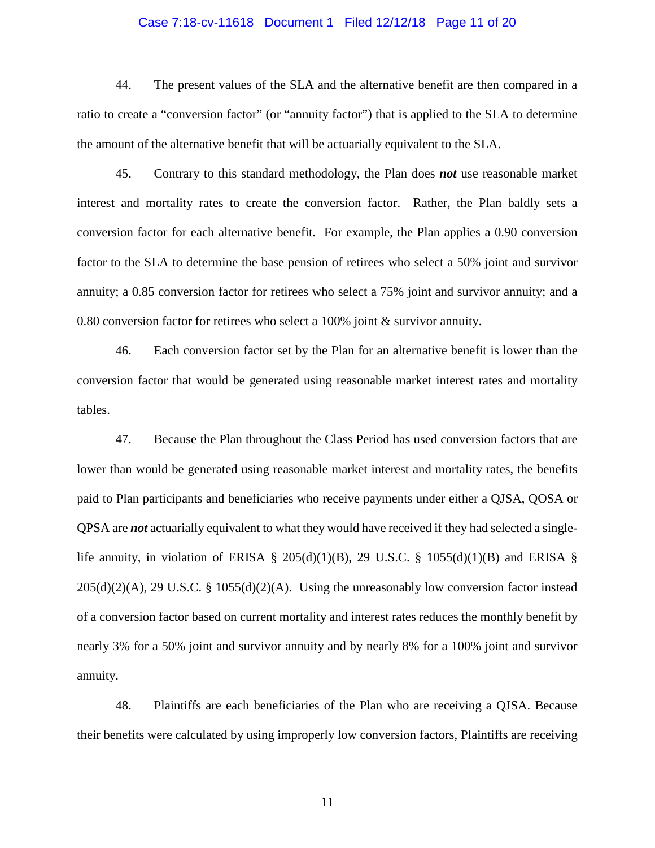#### Case 7:18-cv-11618 Document 1 Filed 12/12/18 Page 11 of 20

44. The present values of the SLA and the alternative benefit are then compared in a ratio to create a "conversion factor" (or "annuity factor") that is applied to the SLA to determine the amount of the alternative benefit that will be actuarially equivalent to the SLA.

45. Contrary to this standard methodology, the Plan does *not* use reasonable market interest and mortality rates to create the conversion factor. Rather, the Plan baldly sets a conversion factor for each alternative benefit. For example, the Plan applies a 0.90 conversion factor to the SLA to determine the base pension of retirees who select a 50% joint and survivor annuity; a 0.85 conversion factor for retirees who select a 75% joint and survivor annuity; and a 0.80 conversion factor for retirees who select a 100% joint & survivor annuity.

46. Each conversion factor set by the Plan for an alternative benefit is lower than the conversion factor that would be generated using reasonable market interest rates and mortality tables.

47. Because the Plan throughout the Class Period has used conversion factors that are lower than would be generated using reasonable market interest and mortality rates, the benefits paid to Plan participants and beneficiaries who receive payments under either a QJSA, QOSA or QPSA are *not* actuarially equivalent to what they would have received if they had selected a singlelife annuity, in violation of ERISA § 205(d)(1)(B), 29 U.S.C. § 1055(d)(1)(B) and ERISA §  $205(d)(2)(A)$ , 29 U.S.C. § 1055(d)(2)(A). Using the unreasonably low conversion factor instead of a conversion factor based on current mortality and interest rates reduces the monthly benefit by nearly 3% for a 50% joint and survivor annuity and by nearly 8% for a 100% joint and survivor annuity.

48. Plaintiffs are each beneficiaries of the Plan who are receiving a QJSA. Because their benefits were calculated by using improperly low conversion factors, Plaintiffs are receiving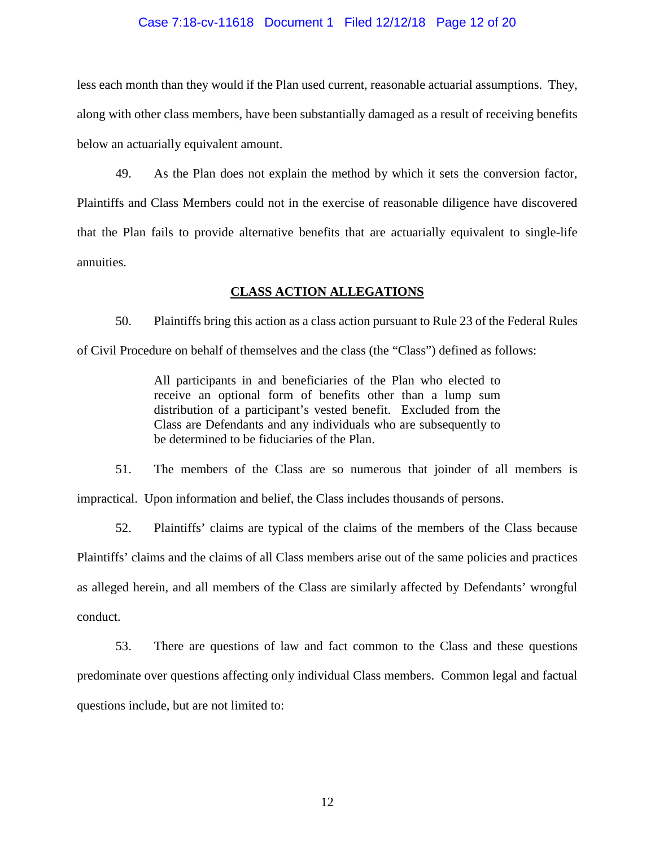#### Case 7:18-cv-11618 Document 1 Filed 12/12/18 Page 12 of 20

less each month than they would if the Plan used current, reasonable actuarial assumptions. They, along with other class members, have been substantially damaged as a result of receiving benefits below an actuarially equivalent amount.

49. As the Plan does not explain the method by which it sets the conversion factor, Plaintiffs and Class Members could not in the exercise of reasonable diligence have discovered that the Plan fails to provide alternative benefits that are actuarially equivalent to single-life annuities.

### **CLASS ACTION ALLEGATIONS**

50. Plaintiffs bring this action as a class action pursuant to Rule 23 of the Federal Rules of Civil Procedure on behalf of themselves and the class (the "Class") defined as follows:

> All participants in and beneficiaries of the Plan who elected to receive an optional form of benefits other than a lump sum distribution of a participant's vested benefit. Excluded from the Class are Defendants and any individuals who are subsequently to be determined to be fiduciaries of the Plan.

51. The members of the Class are so numerous that joinder of all members is impractical. Upon information and belief, the Class includes thousands of persons.

52. Plaintiffs' claims are typical of the claims of the members of the Class because Plaintiffs' claims and the claims of all Class members arise out of the same policies and practices as alleged herein, and all members of the Class are similarly affected by Defendants' wrongful conduct.

53. There are questions of law and fact common to the Class and these questions predominate over questions affecting only individual Class members. Common legal and factual questions include, but are not limited to: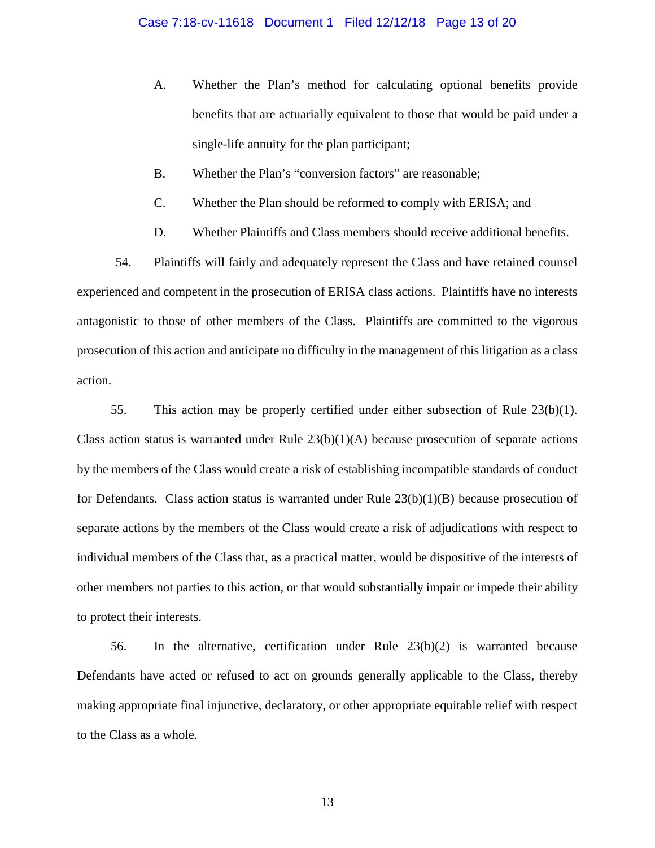- A. Whether the Plan's method for calculating optional benefits provide benefits that are actuarially equivalent to those that would be paid under a single-life annuity for the plan participant;
- B. Whether the Plan's "conversion factors" are reasonable;
- C. Whether the Plan should be reformed to comply with ERISA; and
- D. Whether Plaintiffs and Class members should receive additional benefits.

54. Plaintiffs will fairly and adequately represent the Class and have retained counsel experienced and competent in the prosecution of ERISA class actions. Plaintiffs have no interests antagonistic to those of other members of the Class. Plaintiffs are committed to the vigorous prosecution of this action and anticipate no difficulty in the management of this litigation as a class action.

55. This action may be properly certified under either subsection of Rule 23(b)(1). Class action status is warranted under Rule  $23(b)(1)(A)$  because prosecution of separate actions by the members of the Class would create a risk of establishing incompatible standards of conduct for Defendants. Class action status is warranted under Rule  $23(b)(1)(B)$  because prosecution of separate actions by the members of the Class would create a risk of adjudications with respect to individual members of the Class that, as a practical matter, would be dispositive of the interests of other members not parties to this action, or that would substantially impair or impede their ability to protect their interests.

56. In the alternative, certification under Rule  $23(b)(2)$  is warranted because Defendants have acted or refused to act on grounds generally applicable to the Class, thereby making appropriate final injunctive, declaratory, or other appropriate equitable relief with respect to the Class as a whole.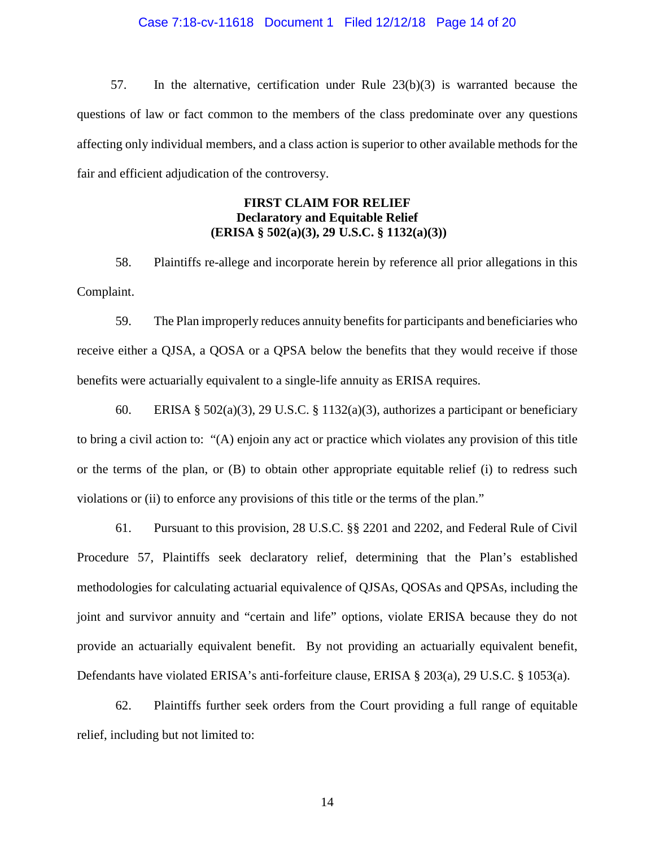#### Case 7:18-cv-11618 Document 1 Filed 12/12/18 Page 14 of 20

57. In the alternative, certification under Rule 23(b)(3) is warranted because the questions of law or fact common to the members of the class predominate over any questions affecting only individual members, and a class action is superior to other available methods for the fair and efficient adjudication of the controversy.

# **FIRST CLAIM FOR RELIEF Declaratory and Equitable Relief (ERISA § 502(a)(3), 29 U.S.C. § 1132(a)(3))**

58. Plaintiffs re-allege and incorporate herein by reference all prior allegations in this Complaint.

59. The Plan improperly reduces annuity benefits for participants and beneficiaries who receive either a QJSA, a QOSA or a QPSA below the benefits that they would receive if those benefits were actuarially equivalent to a single-life annuity as ERISA requires.

60. ERISA § 502(a)(3), 29 U.S.C. § 1132(a)(3), authorizes a participant or beneficiary to bring a civil action to: "(A) enjoin any act or practice which violates any provision of this title or the terms of the plan, or (B) to obtain other appropriate equitable relief (i) to redress such violations or (ii) to enforce any provisions of this title or the terms of the plan."

61. Pursuant to this provision, 28 U.S.C. §§ 2201 and 2202, and Federal Rule of Civil Procedure 57, Plaintiffs seek declaratory relief, determining that the Plan's established methodologies for calculating actuarial equivalence of QJSAs, QOSAs and QPSAs, including the joint and survivor annuity and "certain and life" options, violate ERISA because they do not provide an actuarially equivalent benefit. By not providing an actuarially equivalent benefit, Defendants have violated ERISA's anti-forfeiture clause, ERISA § 203(a), 29 U.S.C. § 1053(a).

62. Plaintiffs further seek orders from the Court providing a full range of equitable relief, including but not limited to: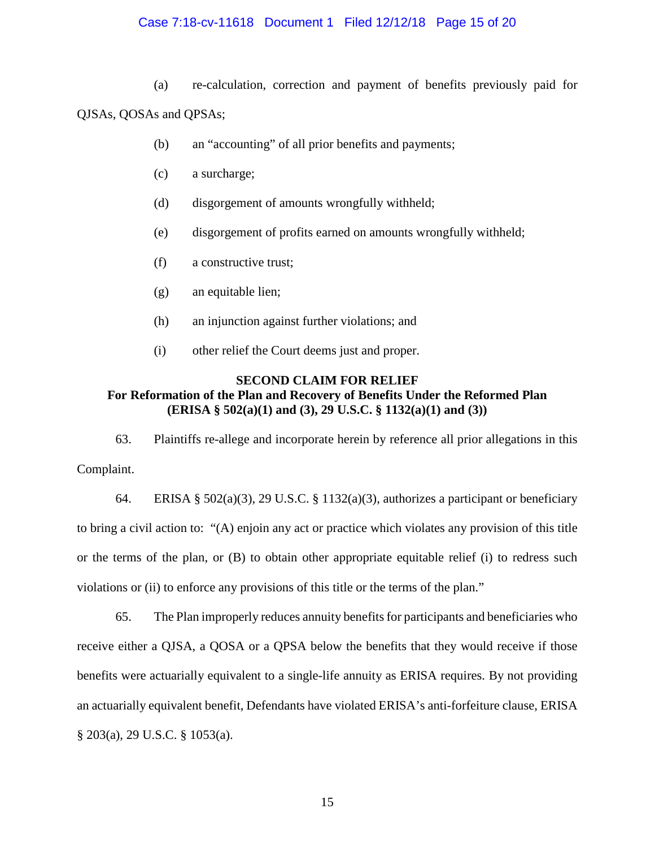### Case 7:18-cv-11618 Document 1 Filed 12/12/18 Page 15 of 20

(a) re-calculation, correction and payment of benefits previously paid for

QJSAs, QOSAs and QPSAs;

- (b) an "accounting" of all prior benefits and payments;
- (c) a surcharge;
- (d) disgorgement of amounts wrongfully withheld;
- (e) disgorgement of profits earned on amounts wrongfully withheld;
- (f) a constructive trust;
- (g) an equitable lien;
- (h) an injunction against further violations; and
- (i) other relief the Court deems just and proper.

# **SECOND CLAIM FOR RELIEF**

# **For Reformation of the Plan and Recovery of Benefits Under the Reformed Plan (ERISA § 502(a)(1) and (3), 29 U.S.C. § 1132(a)(1) and (3))**

63. Plaintiffs re-allege and incorporate herein by reference all prior allegations in this Complaint.

64. ERISA § 502(a)(3), 29 U.S.C. § 1132(a)(3), authorizes a participant or beneficiary to bring a civil action to: "(A) enjoin any act or practice which violates any provision of this title or the terms of the plan, or (B) to obtain other appropriate equitable relief (i) to redress such violations or (ii) to enforce any provisions of this title or the terms of the plan."

65. The Plan improperly reduces annuity benefits for participants and beneficiaries who receive either a QJSA, a QOSA or a QPSA below the benefits that they would receive if those benefits were actuarially equivalent to a single-life annuity as ERISA requires. By not providing an actuarially equivalent benefit, Defendants have violated ERISA's anti-forfeiture clause, ERISA § 203(a), 29 U.S.C. § 1053(a).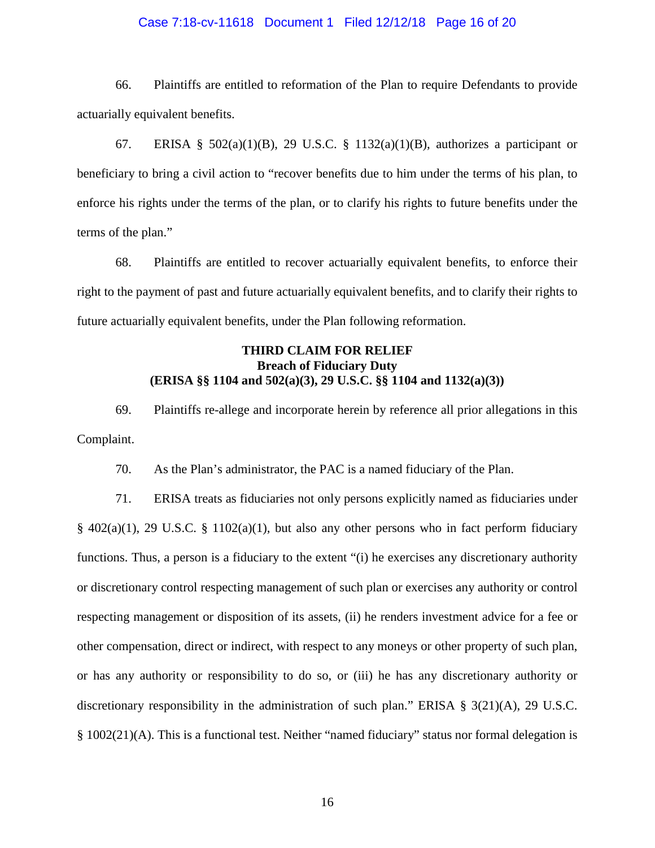#### Case 7:18-cv-11618 Document 1 Filed 12/12/18 Page 16 of 20

66. Plaintiffs are entitled to reformation of the Plan to require Defendants to provide actuarially equivalent benefits.

67. ERISA §  $502(a)(1)(B)$ , 29 U.S.C. § 1132(a)(1)(B), authorizes a participant or beneficiary to bring a civil action to "recover benefits due to him under the terms of his plan, to enforce his rights under the terms of the plan, or to clarify his rights to future benefits under the terms of the plan."

68. Plaintiffs are entitled to recover actuarially equivalent benefits, to enforce their right to the payment of past and future actuarially equivalent benefits, and to clarify their rights to future actuarially equivalent benefits, under the Plan following reformation.

# **THIRD CLAIM FOR RELIEF Breach of Fiduciary Duty (ERISA §§ 1104 and 502(a)(3), 29 U.S.C. §§ 1104 and 1132(a)(3))**

69. Plaintiffs re-allege and incorporate herein by reference all prior allegations in this Complaint.

70. As the Plan's administrator, the PAC is a named fiduciary of the Plan.

71. ERISA treats as fiduciaries not only persons explicitly named as fiduciaries under § 402(a)(1), 29 U.S.C. § 1102(a)(1), but also any other persons who in fact perform fiduciary functions. Thus, a person is a fiduciary to the extent "(i) he exercises any discretionary authority or discretionary control respecting management of such plan or exercises any authority or control respecting management or disposition of its assets, (ii) he renders investment advice for a fee or other compensation, direct or indirect, with respect to any moneys or other property of such plan, or has any authority or responsibility to do so, or (iii) he has any discretionary authority or discretionary responsibility in the administration of such plan." ERISA § 3(21)(A), 29 U.S.C. § 1002(21)(A). This is a functional test. Neither "named fiduciary" status nor formal delegation is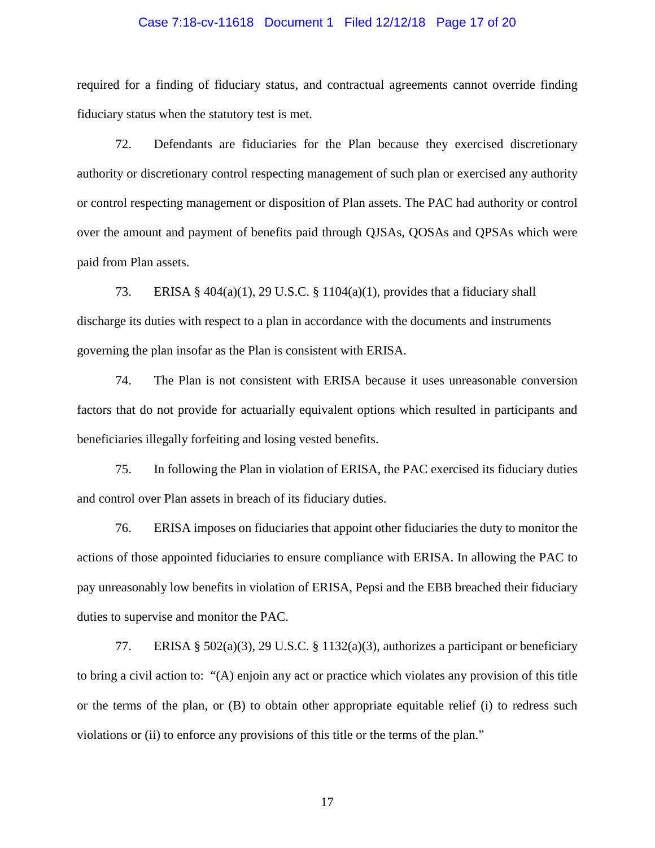#### Case 7:18-cv-11618 Document 1 Filed 12/12/18 Page 17 of 20

required for a finding of fiduciary status, and contractual agreements cannot override finding fiduciary status when the statutory test is met.

72. Defendants are fiduciaries for the Plan because they exercised discretionary authority or discretionary control respecting management of such plan or exercised any authority or control respecting management or disposition of Plan assets. The PAC had authority or control over the amount and payment of benefits paid through QJSAs, QOSAs and QPSAs which were paid from Plan assets.

73. ERISA § 404(a)(1), 29 U.S.C. § 1104(a)(1), provides that a fiduciary shall discharge its duties with respect to a plan in accordance with the documents and instruments governing the plan insofar as the Plan is consistent with ERISA.

74. The Plan is not consistent with ERISA because it uses unreasonable conversion factors that do not provide for actuarially equivalent options which resulted in participants and beneficiaries illegally forfeiting and losing vested benefits.

75. In following the Plan in violation of ERISA, the PAC exercised its fiduciary duties and control over Plan assets in breach of its fiduciary duties.

76. ERISA imposes on fiduciaries that appoint other fiduciaries the duty to monitor the actions of those appointed fiduciaries to ensure compliance with ERISA. In allowing the PAC to pay unreasonably low benefits in violation of ERISA, Pepsi and the EBB breached their fiduciary duties to supervise and monitor the PAC.

77. ERISA § 502(a)(3), 29 U.S.C. § 1132(a)(3), authorizes a participant or beneficiary to bring a civil action to: "(A) enjoin any act or practice which violates any provision of this title or the terms of the plan, or (B) to obtain other appropriate equitable relief (i) to redress such violations or (ii) to enforce any provisions of this title or the terms of the plan."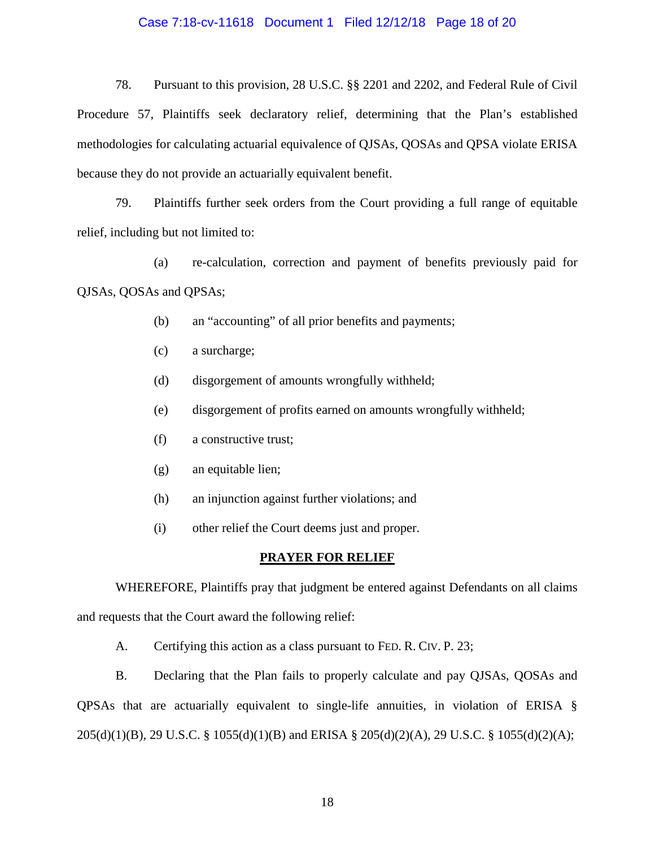#### Case 7:18-cv-11618 Document 1 Filed 12/12/18 Page 18 of 20

78. Pursuant to this provision, 28 U.S.C. §§ 2201 and 2202, and Federal Rule of Civil Procedure 57, Plaintiffs seek declaratory relief, determining that the Plan's established methodologies for calculating actuarial equivalence of QJSAs, QOSAs and QPSA violate ERISA because they do not provide an actuarially equivalent benefit.

79. Plaintiffs further seek orders from the Court providing a full range of equitable relief, including but not limited to:

(a) re-calculation, correction and payment of benefits previously paid for QJSAs, QOSAs and QPSAs;

- (b) an "accounting" of all prior benefits and payments;
- (c) a surcharge;
- (d) disgorgement of amounts wrongfully withheld;
- (e) disgorgement of profits earned on amounts wrongfully withheld;
- (f) a constructive trust;
- (g) an equitable lien;
- (h) an injunction against further violations; and
- (i) other relief the Court deems just and proper.

#### **PRAYER FOR RELIEF**

WHEREFORE, Plaintiffs pray that judgment be entered against Defendants on all claims and requests that the Court award the following relief:

A. Certifying this action as a class pursuant to FED. R. CIV. P. 23;

B. Declaring that the Plan fails to properly calculate and pay QJSAs, QOSAs and QPSAs that are actuarially equivalent to single-life annuities, in violation of ERISA § 205(d)(1)(B), 29 U.S.C. § 1055(d)(1)(B) and ERISA § 205(d)(2)(A), 29 U.S.C. § 1055(d)(2)(A);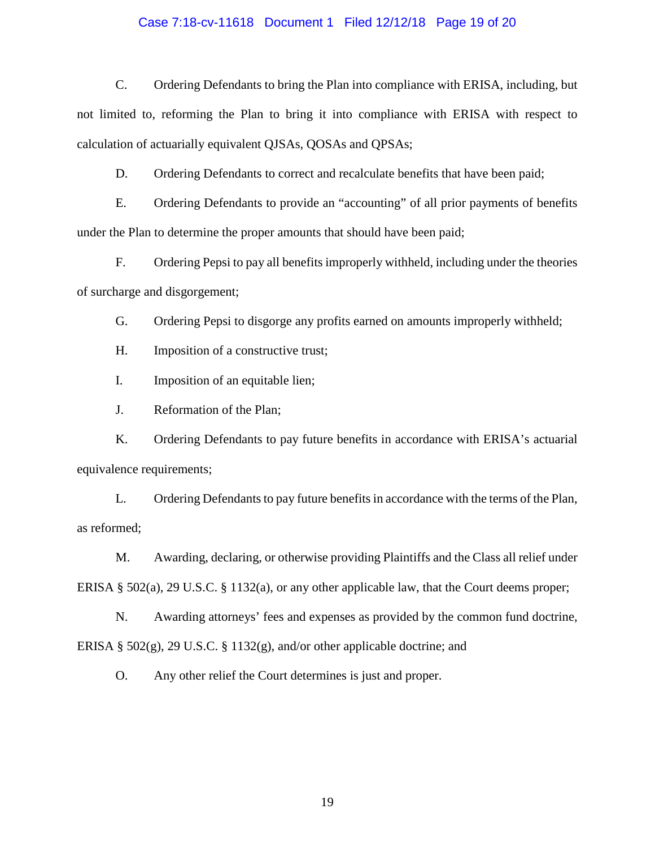#### Case 7:18-cv-11618 Document 1 Filed 12/12/18 Page 19 of 20

C. Ordering Defendants to bring the Plan into compliance with ERISA, including, but not limited to, reforming the Plan to bring it into compliance with ERISA with respect to calculation of actuarially equivalent QJSAs, QOSAs and QPSAs;

D. Ordering Defendants to correct and recalculate benefits that have been paid;

E. Ordering Defendants to provide an "accounting" of all prior payments of benefits under the Plan to determine the proper amounts that should have been paid;

F. Ordering Pepsi to pay all benefits improperly withheld, including under the theories of surcharge and disgorgement;

G. Ordering Pepsi to disgorge any profits earned on amounts improperly withheld;

H. Imposition of a constructive trust;

I. Imposition of an equitable lien;

J. Reformation of the Plan;

K. Ordering Defendants to pay future benefits in accordance with ERISA's actuarial equivalence requirements;

L. Ordering Defendants to pay future benefits in accordance with the terms of the Plan, as reformed;

M. Awarding, declaring, or otherwise providing Plaintiffs and the Class all relief under ERISA § 502(a), 29 U.S.C. § 1132(a), or any other applicable law, that the Court deems proper;

N. Awarding attorneys' fees and expenses as provided by the common fund doctrine, ERISA § 502(g), 29 U.S.C. § 1132(g), and/or other applicable doctrine; and

O. Any other relief the Court determines is just and proper.